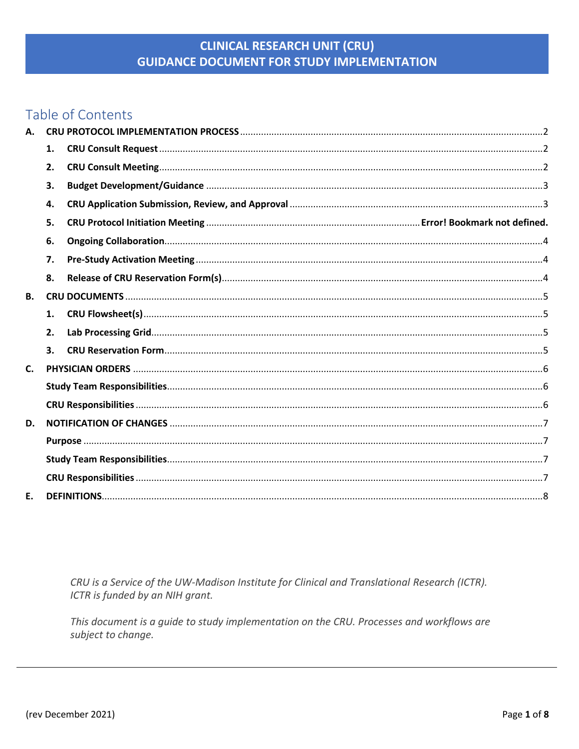# Table of Contents

| А.        |    |  |  |  |
|-----------|----|--|--|--|
|           | 1. |  |  |  |
|           | 2. |  |  |  |
|           | 3. |  |  |  |
|           | 4. |  |  |  |
|           | 5. |  |  |  |
|           | 6. |  |  |  |
|           | 7. |  |  |  |
|           | 8. |  |  |  |
| <b>B.</b> |    |  |  |  |
|           | 1. |  |  |  |
|           | 2. |  |  |  |
|           | 3. |  |  |  |
| C.        |    |  |  |  |
|           |    |  |  |  |
|           |    |  |  |  |
| D.        |    |  |  |  |
|           |    |  |  |  |
|           |    |  |  |  |
|           |    |  |  |  |
| E.        |    |  |  |  |

CRU is a Service of the UW-Madison Institute for Clinical and Translational Research (ICTR). ICTR is funded by an NIH grant.

This document is a guide to study implementation on the CRU. Processes and workflows are subject to change.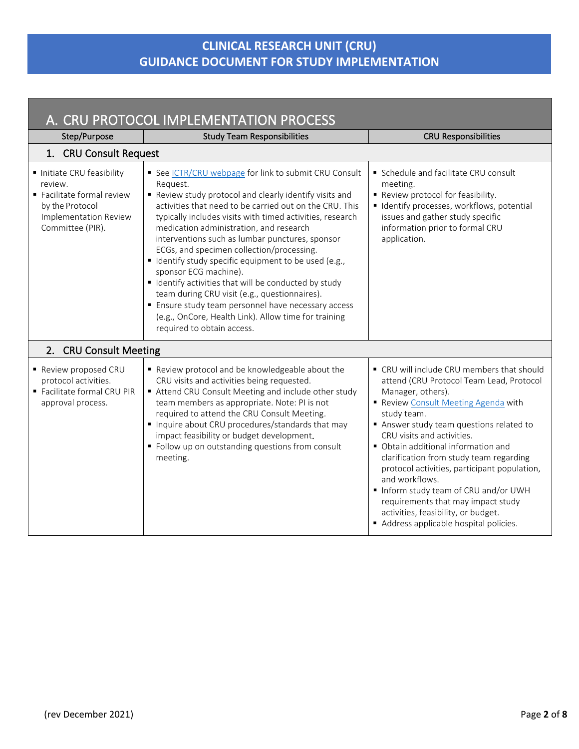<span id="page-1-2"></span><span id="page-1-1"></span><span id="page-1-0"></span>

| A. CRU PROTOCOL IMPLEMENTATION PROCESS                                                                                          |                                                                                                                                                                                                                                                                                                                                                                                                                                                                                                                                                                                                                                                                                                                                    |                                                                                                                                                                                                                                                                                                                                                                                                                                                                                                                                                           |  |
|---------------------------------------------------------------------------------------------------------------------------------|------------------------------------------------------------------------------------------------------------------------------------------------------------------------------------------------------------------------------------------------------------------------------------------------------------------------------------------------------------------------------------------------------------------------------------------------------------------------------------------------------------------------------------------------------------------------------------------------------------------------------------------------------------------------------------------------------------------------------------|-----------------------------------------------------------------------------------------------------------------------------------------------------------------------------------------------------------------------------------------------------------------------------------------------------------------------------------------------------------------------------------------------------------------------------------------------------------------------------------------------------------------------------------------------------------|--|
| Step/Purpose                                                                                                                    | <b>Study Team Responsibilities</b>                                                                                                                                                                                                                                                                                                                                                                                                                                                                                                                                                                                                                                                                                                 | <b>CRU Responsibilities</b>                                                                                                                                                                                                                                                                                                                                                                                                                                                                                                                               |  |
| 1. CRU Consult Request                                                                                                          |                                                                                                                                                                                                                                                                                                                                                                                                                                                                                                                                                                                                                                                                                                                                    |                                                                                                                                                                                                                                                                                                                                                                                                                                                                                                                                                           |  |
| Initiate CRU feasibility<br>review.<br>Facilitate formal review<br>by the Protocol<br>Implementation Review<br>Committee (PIR). | See ICTR/CRU webpage for link to submit CRU Consult<br>Request.<br>Review study protocol and clearly identify visits and<br>activities that need to be carried out on the CRU. This<br>typically includes visits with timed activities, research<br>medication administration, and research<br>interventions such as lumbar punctures, sponsor<br>ECGs, and specimen collection/processing.<br>I Identify study specific equipment to be used (e.g.,<br>sponsor ECG machine).<br>I Identify activities that will be conducted by study<br>team during CRU visit (e.g., questionnaires).<br>Ensure study team personnel have necessary access<br>(e.g., OnCore, Health Link). Allow time for training<br>required to obtain access. | Schedule and facilitate CRU consult<br>meeting.<br>Review protocol for feasibility.<br>■ Identify processes, workflows, potential<br>issues and gather study specific<br>information prior to formal CRU<br>application.                                                                                                                                                                                                                                                                                                                                  |  |
|                                                                                                                                 | 2. CRU Consult Meeting                                                                                                                                                                                                                                                                                                                                                                                                                                                                                                                                                                                                                                                                                                             |                                                                                                                                                                                                                                                                                                                                                                                                                                                                                                                                                           |  |
| Review proposed CRU<br>protocol activities.<br>Facilitate formal CRU PIR<br>approval process.                                   | Review protocol and be knowledgeable about the<br>CRU visits and activities being requested.<br>Attend CRU Consult Meeting and include other study<br>team members as appropriate. Note: PI is not<br>required to attend the CRU Consult Meeting.<br>Inquire about CRU procedures/standards that may<br>impact feasibility or budget development.<br>Follow up on outstanding questions from consult<br>meeting.                                                                                                                                                                                                                                                                                                                   | • CRU will include CRU members that should<br>attend (CRU Protocol Team Lead, Protocol<br>Manager, others).<br>Review Consult Meeting Agenda with<br>study team.<br>Answer study team questions related to<br>CRU visits and activities.<br>• Obtain additional information and<br>clarification from study team regarding<br>protocol activities, participant population,<br>and workflows.<br>Inform study team of CRU and/or UWH<br>requirements that may impact study<br>activities, feasibility, or budget.<br>Address applicable hospital policies. |  |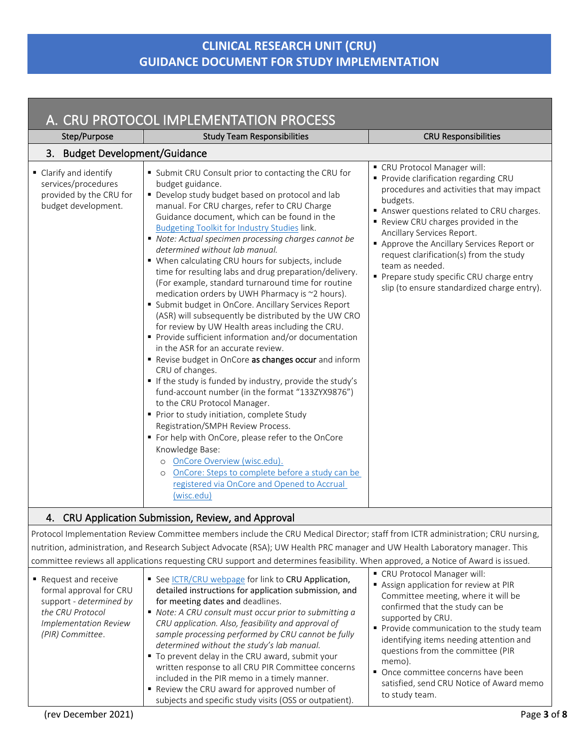<span id="page-2-0"></span>

| A. CRU PROTOCOL IMPLEMENTATION PROCESS                                                          |                                                                                                                                                                                                                                                                                                                                                                                                                                                                                                                                                                                                                                                                                                                                                                                                                                                                                                                                                                                                                                                                                                                                                                                                                                                                                                                                                                                                                              |                                                                                                                                                                                                                                                                                                                                                                                                                                                |  |
|-------------------------------------------------------------------------------------------------|------------------------------------------------------------------------------------------------------------------------------------------------------------------------------------------------------------------------------------------------------------------------------------------------------------------------------------------------------------------------------------------------------------------------------------------------------------------------------------------------------------------------------------------------------------------------------------------------------------------------------------------------------------------------------------------------------------------------------------------------------------------------------------------------------------------------------------------------------------------------------------------------------------------------------------------------------------------------------------------------------------------------------------------------------------------------------------------------------------------------------------------------------------------------------------------------------------------------------------------------------------------------------------------------------------------------------------------------------------------------------------------------------------------------------|------------------------------------------------------------------------------------------------------------------------------------------------------------------------------------------------------------------------------------------------------------------------------------------------------------------------------------------------------------------------------------------------------------------------------------------------|--|
| Step/Purpose                                                                                    | <b>Study Team Responsibilities</b>                                                                                                                                                                                                                                                                                                                                                                                                                                                                                                                                                                                                                                                                                                                                                                                                                                                                                                                                                                                                                                                                                                                                                                                                                                                                                                                                                                                           | <b>CRU Responsibilities</b>                                                                                                                                                                                                                                                                                                                                                                                                                    |  |
| <b>Budget Development/Guidance</b><br>3.                                                        |                                                                                                                                                                                                                                                                                                                                                                                                                                                                                                                                                                                                                                                                                                                                                                                                                                                                                                                                                                                                                                                                                                                                                                                                                                                                                                                                                                                                                              |                                                                                                                                                                                                                                                                                                                                                                                                                                                |  |
| • Clarify and identify<br>services/procedures<br>provided by the CRU for<br>budget development. | " Submit CRU Consult prior to contacting the CRU for<br>budget guidance.<br>• Develop study budget based on protocol and lab<br>manual. For CRU charges, refer to CRU Charge<br>Guidance document, which can be found in the<br><b>Budgeting Toolkit for Industry Studies link.</b><br>• Note: Actual specimen processing charges cannot be<br>determined without lab manual.<br>• When calculating CRU hours for subjects, include<br>time for resulting labs and drug preparation/delivery.<br>(For example, standard turnaround time for routine<br>medication orders by UWH Pharmacy is ~2 hours).<br>Submit budget in OnCore. Ancillary Services Report<br>(ASR) will subsequently be distributed by the UW CRO<br>for review by UW Health areas including the CRU.<br>Provide sufficient information and/or documentation<br>in the ASR for an accurate review.<br>Revise budget in OnCore as changes occur and inform<br>CRU of changes.<br>If the study is funded by industry, provide the study's<br>fund-account number (in the format "133ZYX9876")<br>to the CRU Protocol Manager.<br>Prior to study initiation, complete Study<br>Registration/SMPH Review Process.<br>For help with OnCore, please refer to the OnCore<br>Knowledge Base:<br>OnCore Overview (wisc.edu).<br>$\circ$<br>OnCore: Steps to complete before a study can be<br>$\circ$<br>registered via OnCore and Opened to Accrual<br>(wisc.edu) | CRU Protocol Manager will:<br>Provide clarification regarding CRU<br>procedures and activities that may impact<br>budgets.<br>Answer questions related to CRU charges.<br>Review CRU charges provided in the<br>Ancillary Services Report.<br>Approve the Ancillary Services Report or<br>request clarification(s) from the study<br>team as needed.<br>Prepare study specific CRU charge entry<br>slip (to ensure standardized charge entry). |  |
|                                                                                                 | 4. CRU Application Submission, Review, and Approval                                                                                                                                                                                                                                                                                                                                                                                                                                                                                                                                                                                                                                                                                                                                                                                                                                                                                                                                                                                                                                                                                                                                                                                                                                                                                                                                                                          |                                                                                                                                                                                                                                                                                                                                                                                                                                                |  |
|                                                                                                 | Protocol Implementation Review Committee members include the CRU Medical Director; staff from ICTR administration; CRU nursing,                                                                                                                                                                                                                                                                                                                                                                                                                                                                                                                                                                                                                                                                                                                                                                                                                                                                                                                                                                                                                                                                                                                                                                                                                                                                                              |                                                                                                                                                                                                                                                                                                                                                                                                                                                |  |
|                                                                                                 | nutrition, administration, and Research Subject Advocate (RSA); UW Health PRC manager and UW Health Laboratory manager. This                                                                                                                                                                                                                                                                                                                                                                                                                                                                                                                                                                                                                                                                                                                                                                                                                                                                                                                                                                                                                                                                                                                                                                                                                                                                                                 |                                                                                                                                                                                                                                                                                                                                                                                                                                                |  |

<span id="page-2-1"></span>committee reviews all applications requesting CRU support and determines feasibility. When approved, a Notice of Award is issued.

| ■ Request and receive<br>formal approval for CRU<br>support - determined by<br>the CRU Protocol<br><b>Implementation Review</b><br>(PIR) Committee. | See ICTR/CRU webpage for link to CRU Application,<br>detailed instructions for application submission, and<br>for meeting dates and deadlines.<br>■ Note: A CRU consult must occur prior to submitting a<br>CRU application. Also, feasibility and approval of<br>sample processing performed by CRU cannot be fully<br>determined without the study's lab manual.<br>" To prevent delay in the CRU award, submit your<br>written response to all CRU PIR Committee concerns<br>included in the PIR memo in a timely manner.<br>Review the CRU award for approved number of<br>subjects and specific study visits (OSS or outpatient). | ■ CRU Protocol Manager will:<br>Assign application for review at PIR<br>Committee meeting, where it will be<br>confirmed that the study can be<br>supported by CRU.<br>Provide communication to the study team<br>identifying items needing attention and<br>questions from the committee (PIR<br>memo).<br>• Once committee concerns have been<br>satisfied, send CRU Notice of Award memo<br>to study team. |
|-----------------------------------------------------------------------------------------------------------------------------------------------------|----------------------------------------------------------------------------------------------------------------------------------------------------------------------------------------------------------------------------------------------------------------------------------------------------------------------------------------------------------------------------------------------------------------------------------------------------------------------------------------------------------------------------------------------------------------------------------------------------------------------------------------|---------------------------------------------------------------------------------------------------------------------------------------------------------------------------------------------------------------------------------------------------------------------------------------------------------------------------------------------------------------------------------------------------------------|
|-----------------------------------------------------------------------------------------------------------------------------------------------------|----------------------------------------------------------------------------------------------------------------------------------------------------------------------------------------------------------------------------------------------------------------------------------------------------------------------------------------------------------------------------------------------------------------------------------------------------------------------------------------------------------------------------------------------------------------------------------------------------------------------------------------|---------------------------------------------------------------------------------------------------------------------------------------------------------------------------------------------------------------------------------------------------------------------------------------------------------------------------------------------------------------------------------------------------------------|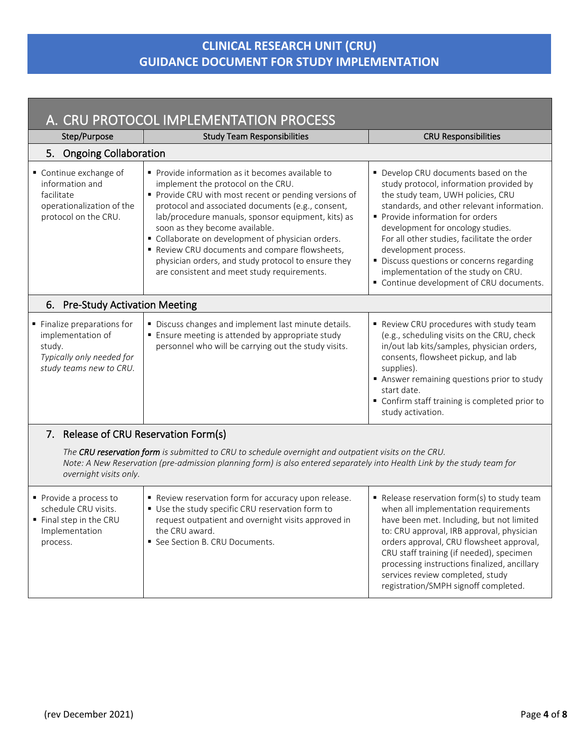<span id="page-3-2"></span><span id="page-3-1"></span><span id="page-3-0"></span>

| A. CRU PROTOCOL IMPLEMENTATION PROCESS                                                                                                                                                                                                                    |                                                                                                                                                                                                                                                                                                                                                                                                                                                                                                   |                                                                                                                                                                                                                                                                                                                                                                                                                                                  |  |
|-----------------------------------------------------------------------------------------------------------------------------------------------------------------------------------------------------------------------------------------------------------|---------------------------------------------------------------------------------------------------------------------------------------------------------------------------------------------------------------------------------------------------------------------------------------------------------------------------------------------------------------------------------------------------------------------------------------------------------------------------------------------------|--------------------------------------------------------------------------------------------------------------------------------------------------------------------------------------------------------------------------------------------------------------------------------------------------------------------------------------------------------------------------------------------------------------------------------------------------|--|
| Step/Purpose                                                                                                                                                                                                                                              | <b>Study Team Responsibilities</b>                                                                                                                                                                                                                                                                                                                                                                                                                                                                | <b>CRU Responsibilities</b>                                                                                                                                                                                                                                                                                                                                                                                                                      |  |
| 5. Ongoing Collaboration                                                                                                                                                                                                                                  |                                                                                                                                                                                                                                                                                                                                                                                                                                                                                                   |                                                                                                                                                                                                                                                                                                                                                                                                                                                  |  |
| Continue exchange of<br>information and<br>facilitate<br>operationalization of the<br>protocol on the CRU.                                                                                                                                                | Provide information as it becomes available to<br>implement the protocol on the CRU.<br>Provide CRU with most recent or pending versions of<br>protocol and associated documents (e.g., consent,<br>lab/procedure manuals, sponsor equipment, kits) as<br>soon as they become available.<br>Collaborate on development of physician orders.<br>Review CRU documents and compare flowsheets,<br>physician orders, and study protocol to ensure they<br>are consistent and meet study requirements. | • Develop CRU documents based on the<br>study protocol, information provided by<br>the study team, UWH policies, CRU<br>standards, and other relevant information.<br>Provide information for orders<br>development for oncology studies.<br>For all other studies, facilitate the order<br>development process.<br>• Discuss questions or concerns regarding<br>implementation of the study on CRU.<br>" Continue development of CRU documents. |  |
| <b>Pre-Study Activation Meeting</b><br>6.                                                                                                                                                                                                                 |                                                                                                                                                                                                                                                                                                                                                                                                                                                                                                   |                                                                                                                                                                                                                                                                                                                                                                                                                                                  |  |
| • Finalize preparations for<br>implementation of<br>study.<br>Typically only needed for<br>study teams new to CRU.                                                                                                                                        | Discuss changes and implement last minute details.<br>Ensure meeting is attended by appropriate study<br>personnel who will be carrying out the study visits.                                                                                                                                                                                                                                                                                                                                     | Review CRU procedures with study team<br>(e.g., scheduling visits on the CRU, check<br>in/out lab kits/samples, physician orders,<br>consents, flowsheet pickup, and lab<br>supplies).<br>Answer remaining questions prior to study<br>start date.<br>" Confirm staff training is completed prior to<br>study activation.                                                                                                                        |  |
| 7. Release of CRU Reservation Form(s)                                                                                                                                                                                                                     |                                                                                                                                                                                                                                                                                                                                                                                                                                                                                                   |                                                                                                                                                                                                                                                                                                                                                                                                                                                  |  |
| The CRU reservation form is submitted to CRU to schedule overnight and outpatient visits on the CRU.<br>Note: A New Reservation (pre-admission planning form) is also entered separately into Health Link by the study team for<br>overnight visits only. |                                                                                                                                                                                                                                                                                                                                                                                                                                                                                                   |                                                                                                                                                                                                                                                                                                                                                                                                                                                  |  |
| Provide a process to<br>schedule CRU visits.<br>Final step in the CRU<br>Implementation<br>process.                                                                                                                                                       | Review reservation form for accuracy upon release.<br>Use the study specific CRU reservation form to<br>request outpatient and overnight visits approved in<br>the CRU award.<br>See Section B. CRU Documents.                                                                                                                                                                                                                                                                                    | Release reservation form(s) to study team<br>when all implementation requirements<br>have been met. Including, but not limited<br>to: CRU approval, IRB approval, physician<br>orders approval, CRU flowsheet approval,<br>CRU staff training (if needed), specimen<br>processing instructions finalized, ancillary<br>services review completed, study<br>registration/SMPH signoff completed.                                                  |  |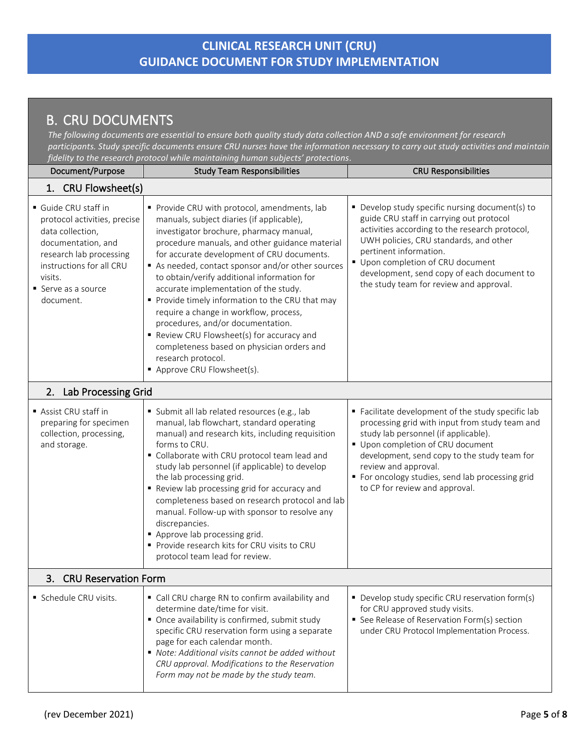### <span id="page-4-0"></span>B. CRU DOCUMENTS

*The following documents are essential to ensure both quality study data collection AND a safe environment for research participants. Study specific documents ensure CRU nurses have the information necessary to carry out study activities and maintain* 

<span id="page-4-3"></span><span id="page-4-2"></span><span id="page-4-1"></span>

| fidelity to the research protocol while maintaining human subjects' protections.                                                                                                                   |                                                                                                                                                                                                                                                                                                                                                                                                                                                                                                                                                                                                                                                             |                                                                                                                                                                                                                                                                                                                                               |  |  |
|----------------------------------------------------------------------------------------------------------------------------------------------------------------------------------------------------|-------------------------------------------------------------------------------------------------------------------------------------------------------------------------------------------------------------------------------------------------------------------------------------------------------------------------------------------------------------------------------------------------------------------------------------------------------------------------------------------------------------------------------------------------------------------------------------------------------------------------------------------------------------|-----------------------------------------------------------------------------------------------------------------------------------------------------------------------------------------------------------------------------------------------------------------------------------------------------------------------------------------------|--|--|
| Document/Purpose                                                                                                                                                                                   | <b>Study Team Responsibilities</b>                                                                                                                                                                                                                                                                                                                                                                                                                                                                                                                                                                                                                          | <b>CRU Responsibilities</b>                                                                                                                                                                                                                                                                                                                   |  |  |
|                                                                                                                                                                                                    | 1. CRU Flowsheet(s)                                                                                                                                                                                                                                                                                                                                                                                                                                                                                                                                                                                                                                         |                                                                                                                                                                                                                                                                                                                                               |  |  |
| Guide CRU staff in<br>protocol activities, precise<br>data collection,<br>documentation, and<br>research lab processing<br>instructions for all CRU<br>visits.<br>■ Serve as a source<br>document. | Provide CRU with protocol, amendments, lab<br>manuals, subject diaries (if applicable),<br>investigator brochure, pharmacy manual,<br>procedure manuals, and other guidance material<br>for accurate development of CRU documents.<br>As needed, contact sponsor and/or other sources<br>to obtain/verify additional information for<br>accurate implementation of the study.<br>Provide timely information to the CRU that may<br>require a change in workflow, process,<br>procedures, and/or documentation.<br>Review CRU Flowsheet(s) for accuracy and<br>completeness based on physician orders and<br>research protocol.<br>Approve CRU Flowsheet(s). | • Develop study specific nursing document(s) to<br>guide CRU staff in carrying out protocol<br>activities according to the research protocol,<br>UWH policies, CRU standards, and other<br>pertinent information.<br>Upon completion of CRU document<br>development, send copy of each document to<br>the study team for review and approval. |  |  |
| 2.<br><b>Lab Processing Grid</b>                                                                                                                                                                   |                                                                                                                                                                                                                                                                                                                                                                                                                                                                                                                                                                                                                                                             |                                                                                                                                                                                                                                                                                                                                               |  |  |
| Assist CRU staff in<br>preparing for specimen<br>collection, processing,<br>and storage.                                                                                                           | Submit all lab related resources (e.g., lab<br>manual, lab flowchart, standard operating<br>manual) and research kits, including requisition<br>forms to CRU.<br>Collaborate with CRU protocol team lead and<br>study lab personnel (if applicable) to develop<br>the lab processing grid.<br>Review lab processing grid for accuracy and<br>completeness based on research protocol and lab<br>manual. Follow-up with sponsor to resolve any<br>discrepancies.<br>Approve lab processing grid.<br>Provide research kits for CRU visits to CRU<br>protocol team lead for review.                                                                            | Facilitate development of the study specific lab<br>processing grid with input from study team and<br>study lab personnel (if applicable).<br>Upon completion of CRU document<br>development, send copy to the study team for<br>review and approval.<br>" For oncology studies, send lab processing grid<br>to CP for review and approval.   |  |  |
| 3.<br><b>CRU Reservation Form</b>                                                                                                                                                                  |                                                                                                                                                                                                                                                                                                                                                                                                                                                                                                                                                                                                                                                             |                                                                                                                                                                                                                                                                                                                                               |  |  |
| Schedule CRU visits.                                                                                                                                                                               | • Call CRU charge RN to confirm availability and<br>determine date/time for visit.<br>• Once availability is confirmed, submit study<br>specific CRU reservation form using a separate<br>page for each calendar month.<br>■ Note: Additional visits cannot be added without<br>CRU approval. Modifications to the Reservation<br>Form may not be made by the study team.                                                                                                                                                                                                                                                                                   | • Develop study specific CRU reservation form(s)<br>for CRU approved study visits.<br>• See Release of Reservation Form(s) section<br>under CRU Protocol Implementation Process.                                                                                                                                                              |  |  |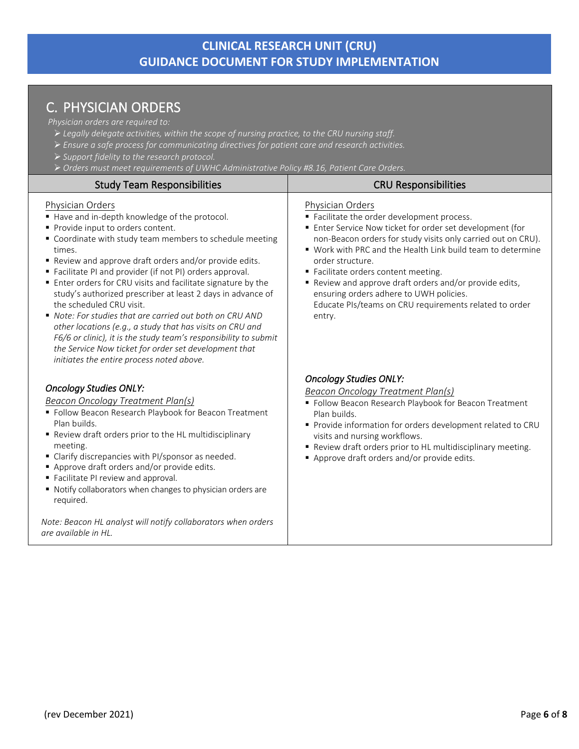## <span id="page-5-0"></span>C. PHYSICIAN ORDERS

*Physician orders are required to:*

- ➢ *Legally delegate activities, within the scope of nursing practice, to the CRU nursing staff.*
- ➢ *Ensure a safe process for communicating directives for patient care and research activities.*
- ➢ *Support fidelity to the research protocol.*
- <span id="page-5-2"></span>➢ *Orders must meet requirements of UWHC Administrative Policy #8.16, Patient Care Orders.*

<span id="page-5-3"></span><span id="page-5-1"></span>

| $\blacktriangleright$ Orders must meet requirements of UWHC Administrative Policy #8.16, Patient Care Orders.<br><b>Study Team Responsibilities</b>                                                                                                                                                                                                                                                                                                                                                                                                                                                                                                                                                                                                       | <b>CRU Responsibilities</b>                                                                                                                                                                                                                                                                                                                                                                                                                                                               |
|-----------------------------------------------------------------------------------------------------------------------------------------------------------------------------------------------------------------------------------------------------------------------------------------------------------------------------------------------------------------------------------------------------------------------------------------------------------------------------------------------------------------------------------------------------------------------------------------------------------------------------------------------------------------------------------------------------------------------------------------------------------|-------------------------------------------------------------------------------------------------------------------------------------------------------------------------------------------------------------------------------------------------------------------------------------------------------------------------------------------------------------------------------------------------------------------------------------------------------------------------------------------|
| Physician Orders<br>Have and in-depth knowledge of the protocol.<br>Provide input to orders content.<br>" Coordinate with study team members to schedule meeting<br>times.<br>Review and approve draft orders and/or provide edits.<br>Facilitate PI and provider (if not PI) orders approval.<br>Enter orders for CRU visits and facilitate signature by the<br>study's authorized prescriber at least 2 days in advance of<br>the scheduled CRU visit.<br>Note: For studies that are carried out both on CRU AND<br>other locations (e.g., a study that has visits on CRU and<br>F6/6 or clinic), it is the study team's responsibility to submit<br>the Service Now ticket for order set development that<br>initiates the entire process noted above. | Physician Orders<br>Facilitate the order development process.<br>Enter Service Now ticket for order set development (for<br>non-Beacon orders for study visits only carried out on CRU).<br>■ Work with PRC and the Health Link build team to determine<br>order structure.<br>Facilitate orders content meeting.<br>Review and approve draft orders and/or provide edits,<br>ensuring orders adhere to UWH policies.<br>Educate PIs/teams on CRU requirements related to order<br>entry. |
| <b>Oncology Studies ONLY:</b><br>Beacon Oncology Treatment Plan(s)<br>Follow Beacon Research Playbook for Beacon Treatment<br>Plan builds.<br>Review draft orders prior to the HL multidisciplinary<br>meeting.<br>• Clarify discrepancies with PI/sponsor as needed.<br>Approve draft orders and/or provide edits.<br>Facilitate PI review and approval.<br>■ Notify collaborators when changes to physician orders are<br>required.                                                                                                                                                                                                                                                                                                                     | <b>Oncology Studies ONLY:</b><br>Beacon Oncology Treatment Plan(s)<br>Follow Beacon Research Playbook for Beacon Treatment<br>Plan builds.<br>Provide information for orders development related to CRU<br>visits and nursing workflows.<br>Review draft orders prior to HL multidisciplinary meeting.<br>Approve draft orders and/or provide edits.                                                                                                                                      |
| Note: Beacon HL analyst will notify collaborators when orders<br>are available in HL.                                                                                                                                                                                                                                                                                                                                                                                                                                                                                                                                                                                                                                                                     |                                                                                                                                                                                                                                                                                                                                                                                                                                                                                           |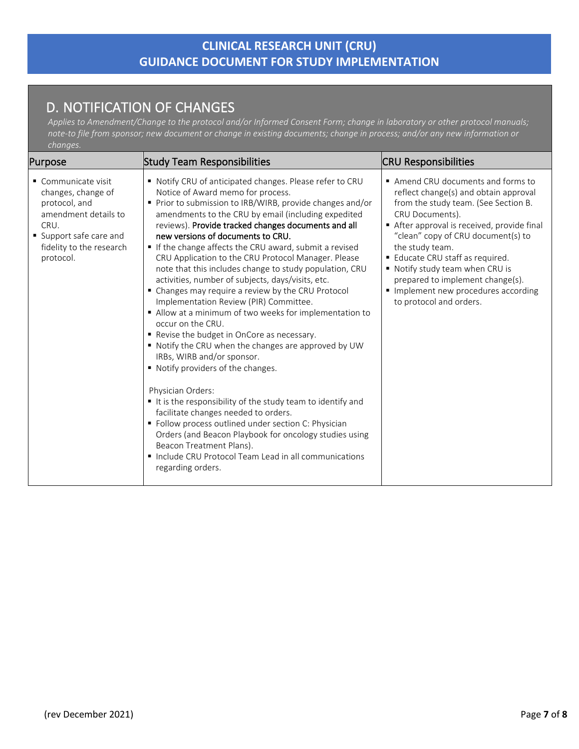## D. NOTIFICATION OF CHANGES

<span id="page-6-2"></span><span id="page-6-1"></span>*Applies to Amendment/Change to the protocol and/or Informed Consent Form; change in laboratory or other protocol manuals; note‐to file from sponsor; new document or change in existing documents; change in process; and/or any new information or changes.*

<span id="page-6-3"></span><span id="page-6-0"></span>

| Purpose                                                                                                                                                      | <b>Study Team Responsibilities</b>                                                                                                                                                                                                                                                                                                                                                                                                                                                                                                                                                                                                                                                                                                                                                                                                                                                                                                                                                                                                                                                                                                                                                                                                                   | <b>CRU Responsibilities</b>                                                                                                                                                                                                                                                                                                                                                                                        |
|--------------------------------------------------------------------------------------------------------------------------------------------------------------|------------------------------------------------------------------------------------------------------------------------------------------------------------------------------------------------------------------------------------------------------------------------------------------------------------------------------------------------------------------------------------------------------------------------------------------------------------------------------------------------------------------------------------------------------------------------------------------------------------------------------------------------------------------------------------------------------------------------------------------------------------------------------------------------------------------------------------------------------------------------------------------------------------------------------------------------------------------------------------------------------------------------------------------------------------------------------------------------------------------------------------------------------------------------------------------------------------------------------------------------------|--------------------------------------------------------------------------------------------------------------------------------------------------------------------------------------------------------------------------------------------------------------------------------------------------------------------------------------------------------------------------------------------------------------------|
| • Communicate visit<br>changes, change of<br>protocol, and<br>amendment details to<br>CRU.<br>Support safe care and<br>fidelity to the research<br>protocol. | Notify CRU of anticipated changes. Please refer to CRU<br>Notice of Award memo for process.<br>Prior to submission to IRB/WIRB, provide changes and/or<br>amendments to the CRU by email (including expedited<br>reviews). Provide tracked changes documents and all<br>new versions of documents to CRU.<br>If the change affects the CRU award, submit a revised<br>CRU Application to the CRU Protocol Manager. Please<br>note that this includes change to study population, CRU<br>activities, number of subjects, days/visits, etc.<br>• Changes may require a review by the CRU Protocol<br>Implementation Review (PIR) Committee.<br>Allow at a minimum of two weeks for implementation to<br>occur on the CRU.<br>Revise the budget in OnCore as necessary.<br>■ Notify the CRU when the changes are approved by UW<br>IRBs, WIRB and/or sponsor.<br>• Notify providers of the changes.<br>Physician Orders:<br>It is the responsibility of the study team to identify and<br>facilitate changes needed to orders.<br>Follow process outlined under section C: Physician<br>Orders (and Beacon Playbook for oncology studies using<br>Beacon Treatment Plans).<br>Include CRU Protocol Team Lead in all communications<br>regarding orders. | Amend CRU documents and forms to<br>reflect change(s) and obtain approval<br>from the study team. (See Section B.<br>CRU Documents).<br>After approval is received, provide final<br>"clean" copy of CRU document(s) to<br>the study team.<br>Educate CRU staff as required.<br>Notify study team when CRU is<br>prepared to implement change(s).<br>Implement new procedures according<br>to protocol and orders. |